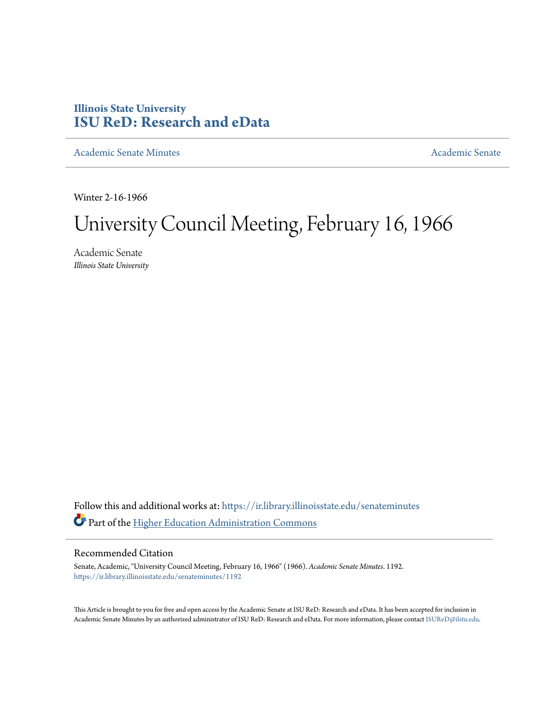# **Illinois State University [ISU ReD: Research and eData](https://ir.library.illinoisstate.edu?utm_source=ir.library.illinoisstate.edu%2Fsenateminutes%2F1192&utm_medium=PDF&utm_campaign=PDFCoverPages)**

[Academic Senate Minutes](https://ir.library.illinoisstate.edu/senateminutes?utm_source=ir.library.illinoisstate.edu%2Fsenateminutes%2F1192&utm_medium=PDF&utm_campaign=PDFCoverPages) [Academic Senate](https://ir.library.illinoisstate.edu/senate?utm_source=ir.library.illinoisstate.edu%2Fsenateminutes%2F1192&utm_medium=PDF&utm_campaign=PDFCoverPages) Academic Senate

Winter 2-16-1966

# University Council Meeting, February 16, 1966

Academic Senate *Illinois State University*

Follow this and additional works at: [https://ir.library.illinoisstate.edu/senateminutes](https://ir.library.illinoisstate.edu/senateminutes?utm_source=ir.library.illinoisstate.edu%2Fsenateminutes%2F1192&utm_medium=PDF&utm_campaign=PDFCoverPages) Part of the [Higher Education Administration Commons](http://network.bepress.com/hgg/discipline/791?utm_source=ir.library.illinoisstate.edu%2Fsenateminutes%2F1192&utm_medium=PDF&utm_campaign=PDFCoverPages)

# Recommended Citation

Senate, Academic, "University Council Meeting, February 16, 1966" (1966). *Academic Senate Minutes*. 1192. [https://ir.library.illinoisstate.edu/senateminutes/1192](https://ir.library.illinoisstate.edu/senateminutes/1192?utm_source=ir.library.illinoisstate.edu%2Fsenateminutes%2F1192&utm_medium=PDF&utm_campaign=PDFCoverPages)

This Article is brought to you for free and open access by the Academic Senate at ISU ReD: Research and eData. It has been accepted for inclusion in Academic Senate Minutes by an authorized administrator of ISU ReD: Research and eData. For more information, please contact [ISUReD@ilstu.edu.](mailto:ISUReD@ilstu.edu)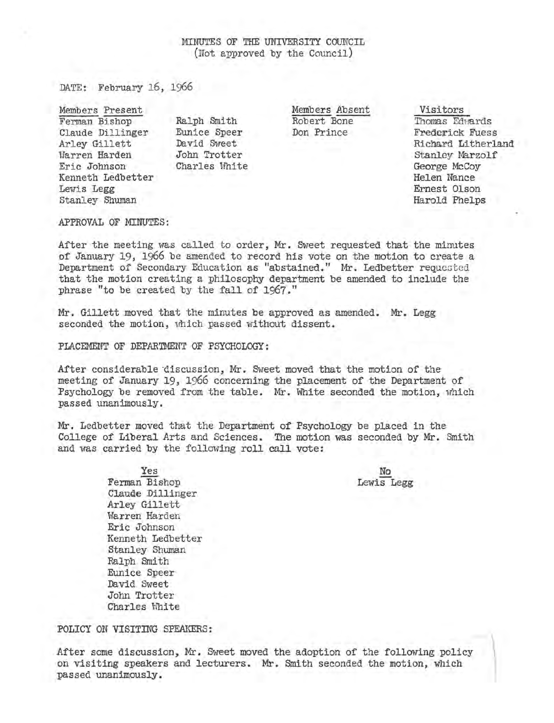## MINUTES OF THE UNIVERSITY COUNCIL (Not approved by the Council)

DATE: February 16, 1966

Members Present Visitors Ferman Bishop Claude Dillinger Arley Gillett Warren Harden Eric Johnson Kenneth Ledbetter Lewis Legg Stanley Shuman

Ralph Smith Eunice Speer David Sweet John Trotter Charles White Robert Bone Don Prince

Thomas Edwards Frederick Fuess Richard Litherland Stanley Marzolf George McCoy Helen Nance Ernest Olson Harold Phelps

#### APPROVAL OF MINUTES:

After the meeting was called to order, Mr. Sweet requested that the minutes of January 19, 1966 be amended to record his vote on the motion to create a Department of Secondary Education as "abstained." Mr. Ledbetter requested that the motion creating a philosophy department be amended to include the phrase "to be created by the fall of 1967."

Mr. Gillett moved that the minutes be approved as amended. Mr. Legg seconded the motion, which passed without dissent.

PLACEMENT OF DEPARTMENT OF PSYCHOLOGY:

After considerable discussion, Mr. Sweet moved that the motion of the meeting of January 19, 1966 concerning the placement of the Department of Psychology be removed from the table. Mr. White seconded the motion, which passed unanimously.

Mr. Ledbetter moved that the Department of Psychology be placed in the College of Liberal Arts and Sciences. The motion was seconded by Mr. Smith and was carried by the following roll call vote:

> No Lewis Legg

Yes Ferman Bishop Claude Dillinger Arley Gillett Warren Harden Eric Johnson Kenneth Ledbetter Stanley Shuman Ralph Smith Eunice Speer David Sweet John Trotter Charles White

POLICY ON VISITING SPEAKERS:

After some discussion, Mr. Sweet moved the adoption of the following policy<br>on visiting speakers and lecturers. Mr. Smith seconded the motion, which<br>passed unanimously. on visiting speakers and lecturers. Mr. Smith seconded the motion, which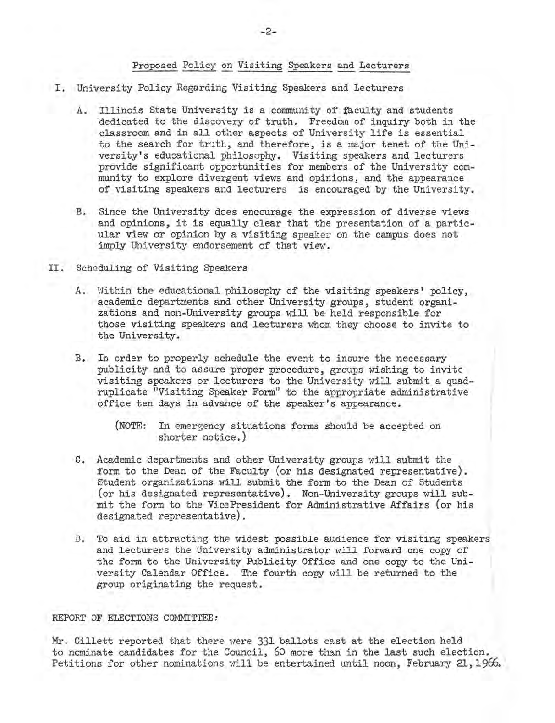### Proposed Policy on Visiting Speakers and Lecturers

- I. University Policy Regarding Visiting Speakers and Lecturers
	- A. Illinois State University is a community of faculty and students 'dedicated to the discovery of truth. Freedom of inquiry both in the classroom and in all other aspects of University life is essential to the search for truth, and therefore, is a major tenet of the University's educational philosophy. Visiting speakers and lecturers provide significant opportunities for members of the University community to explore divergent views and opinions, and the appearance of visiting speakers and lecturers is encouraged by the University.
	- B. Since the University does encourage the expression of diverse views and opinions, it is equally clear that the presentation of a particular view or opinion by a visiting speaker on the campus does not imply University endorsement of that view.
- II. Scheduling of Visiting Speakers
	- A. Within the educational philosophy of the visiting speakers' policy, academic departments and other University groups, student organizations and non-University groups will be held responsible for those visiting speakers and lecturers whom they choose to invite to the University.
	- B. In order to properly schedule the event to insure the necessary publicity and to assure proper procedure, groups wishing to invite visiting speakers or lecturers to the University will submit a quadruplicate "Visiting Speaker Form" to the appropriate administrative office ten days in advance of the speaker's appearance.

- C. Academic departments and other University groups will submit the form to the Dean of the Faculty (or his designated representative). Student organizations will submit the form to the Dean of Students (or his designated representative). Non-University groups will submit the form to the VicePresident for Administrative Affairs (or his designated representative).
- D. To aid in attracting the widest possible audience for visiting speakers and lecturers the University administrator will forward one copy of the form to the University Publicity Office and one copy to the University Calendar Office. The fourth copy will be returned to the group originating the request.

#### REPORT OF ELECTIONS COMMITTEE:

Mr. Gillett reported that there were 331 ballots cast at the election held to nominate candidates for the Council, 60 more than in the last such election. Petitions for other nominations will be entertained until noon, February 21, 1966.

<sup>(</sup>NOTE: In emergency situations forms should be accepted on shorter notice.)